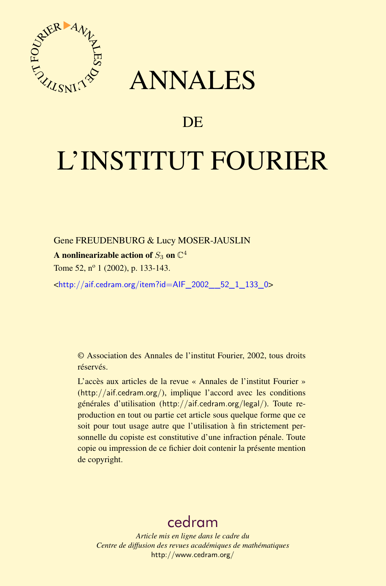



## DE

# L'INSTITUT FOURIER

Gene FREUDENBURG & Lucy MOSER-JAUSLIN

A nonlinearizable action of  $S_3$  on  $\mathbb{C}^4$ 

Tome 52, nº 1 (2002), p. 133-143.

<[http://aif.cedram.org/item?id=AIF\\_2002\\_\\_52\\_1\\_133\\_0](http://aif.cedram.org/item?id=AIF_2002__52_1_133_0)>

© Association des Annales de l'institut Fourier, 2002, tous droits réservés.

L'accès aux articles de la revue « Annales de l'institut Fourier » (<http://aif.cedram.org/>), implique l'accord avec les conditions générales d'utilisation (<http://aif.cedram.org/legal/>). Toute reproduction en tout ou partie cet article sous quelque forme que ce soit pour tout usage autre que l'utilisation à fin strictement personnelle du copiste est constitutive d'une infraction pénale. Toute copie ou impression de ce fichier doit contenir la présente mention de copyright.

## [cedram](http://www.cedram.org/)

*Article mis en ligne dans le cadre du Centre de diffusion des revues académiques de mathématiques* <http://www.cedram.org/>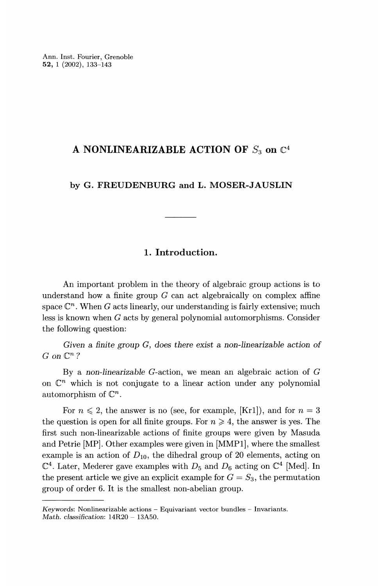### A NONLINEARIZABLE ACTION OF  $S_3$  on  $\mathbb{C}^4$

#### by G. FREUDENBURG and L. MOSER-JAUSLIN

#### 1. Introduction.

An important problem in the theory of algebraic group actions is to understand how a finite group  $G$  can act algebraically on complex affine space  $\mathbb{C}^n$ . When G acts linearly, our understanding is fairly extensive; much less is known when G acts by general polynomial automorphisms. Consider the following question:

Given a finite group G, does there exist a non-linearizable action of  $G$  on  $\mathbb{C}^n$ ?

By a non-linearizable G-action, we mean an algebraic action of G on  $\mathbb{C}^n$  which is not conjugate to a linear action under any polynomial automorphism of  $\mathbb{C}^n$ .

For  $n \leq 2$ , the answer is no (see, for example, [Kr1]), and for  $n = 3$ the question is open for all finite groups. For  $n \geq 4$ , the answer is yes. The first such non-linearizable actions of finite groups were given by Masuda and Petrie [MP]. Other examples were given in [MMP1], where the smallest example is an action of  $D_{10}$ , the dihedral group of 20 elements, acting on  $\mathbb{C}^4$ . Later, Mederer gave examples with  $D_5$  and  $D_6$  acting on  $\mathbb{C}^4$  [Med]. In the present article we give an explicit example for  $G = S_3$ , the permutation group of order 6. It is the smallest non-abelian group.

Keywords: Nonlinearizable actions - Equivariant vector bundles - Invariants. Math. classification:  $14R20 - 13A50$ .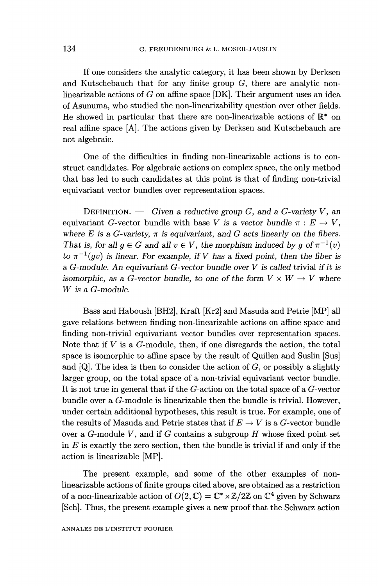If one considers the analytic category, it has been shown by Derksen and Kutschebauch that for any finite group  $G$ , there are analytic nonlinearizable actions of G on affine space [DK]. Their argument uses an idea of Asunuma, who studied the non-linearizability question over other fields. He showed in particular that there are non-linearizable actions of  $\mathbb{R}^*$  on real affine space [A]. The actions given by Derksen and Kutschebauch are not algebraic.

One of the difficulties in finding non-linearizable actions is to construct candidates. For algebraic actions on complex space, the only method that has led to such candidates at this point is that of finding non-trivial equivariant vector bundles over representation spaces.

DEFINITION. — Given a reductive group G, and a G-variety V, an equivariant G-vector bundle with base V is a vector bundle  $\pi : E \to V$ , where E is a G-variety,  $\pi$  is equivariant, and G acts linearly on the fibers. That is, for all  $q \in G$  and all  $v \in V$ , the morphism induced by q of  $\pi^{-1}(v)$ to  $\pi^{-1}(gv)$  is linear. For example, if V has a fixed point, then the fiber is a G-module. An equivariant G-vector bundle over  $V$  is called trivial if it is isomorphic, as a G-vector bundle, to one of the form  $V \times W \rightarrow V$  where W is a G-module.

Bass and Haboush [BH2], Kraft [Kr2] and Masuda and Petrie [MP] all gave relations between finding non-linearizable actions on affine space and finding non-trivial equivariant vector bundles over representation spaces. Note that if  $V$  is a  $G$ -module, then, if one disregards the action, the total space is isomorphic to affine space by the result of Quillen and Suslin [Sus] and  $[Q]$ . The idea is then to consider the action of  $G$ , or possibly a slightly larger group, on the total space of a non-trivial equivariant vector bundle. It is not true in general that if the G-action on the total space of a G-vector bundle over a G-module is linearizable then the bundle is trivial. However, under certain additional hypotheses, this result is true. For example, one of the results of Masuda and Petrie states that if  $E \to V$  is a G-vector bundle over a  $G$ -module  $V$ , and if  $G$  contains a subgroup  $H$  whose fixed point set in  $E$  is exactly the zero section, then the bundle is trivial if and only if the action is linearizable [MP].

The present example, and some of the other examples of nonlinearizable actions of finite groups cited above, are obtained as a restriction of a non-linearizable action of  $O(2, \mathbb{C}) = \mathbb{C}^* \rtimes \mathbb{Z}/2\mathbb{Z}$  on  $\mathbb{C}^4$  given by Schwarz [Sch]. Thus, the present example gives a new proof that the Schwarz action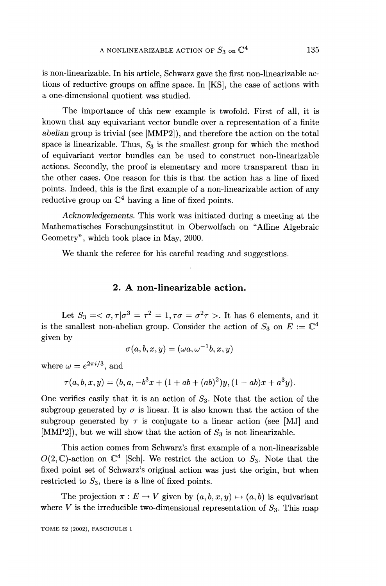is non-linearizable. In his article, Schwarz gave the first non-linearizable actions of reductive groups on affine space. In [KS], the case of actions with a one-dimensional quotient was studied.

The importance of this new example is twofold. First of all, it is known that any equivariant vector bundle over a representation of a finite abelian group is trivial (see [MMP2]), and therefore the action on the total space is linearizable. Thus,  $S_3$  is the smallest group for which the method of equivariant vector bundles can be used to construct non-linearizable actions. Secondly, the proof is elementary and more transparent than in the other cases. One reason for this is that the action has a line of fixed points. Indeed, this is the first example of a non-linearizable action of any reductive group on  $\mathbb{C}^4$  having a line of fixed points.

Acknowledgements. This work was initiated during a meeting at the Mathematisches Forschungsinstitut in Oberwolfach on "Affine Algebraic Geometry", which took place in May, 2000.

We thank the referee for his careful reading and suggestions.

#### 2. A non-linearizable action.

Let  $S_3 = \langle \sigma, \tau | \sigma^3 = \tau^2 = 1, \tau \sigma = \sigma^2 \tau \rangle$ . It has 6 elements, and it is the smallest non-abelian group. Consider the action of  $S_3$  on  $E := \mathbb{C}^4$ given by

$$
\sigma(a,b,x,y)=(\omega a, \omega^{-1}b,x,y)
$$

where  $\omega = e^{2\pi i/3}$ , and

$$
\tau(a, b, x, y) = (b, a, -b^{3}x + (1 + ab + (ab)^{2})y, (1 - ab)x + a^{3}y).
$$

One verifies easily that it is an action of  $S_3$ . Note that the action of the subgroup generated by  $\sigma$  is linear. It is also known that the action of the subgroup generated by  $\tau$  is conjugate to a linear action (see [MJ] and [MMP2]), but we will show that the action of  $S_3$  is not linearizable.

This action comes from Schwarz's first example of a non-linearizable  $O(2,\mathbb{C})$ -action on  $\mathbb{C}^4$  [Sch]. We restrict the action to  $S_3$ . Note that the fixed point set of Schwarz's original action was just the origin, but when restricted to  $S_3$ , there is a line of fixed points.

The projection  $\pi : E \to V$  given by  $(a, b, x, y) \mapsto (a, b)$  is equivariant where V is the irreducible two-dimensional representation of  $S_3$ . This map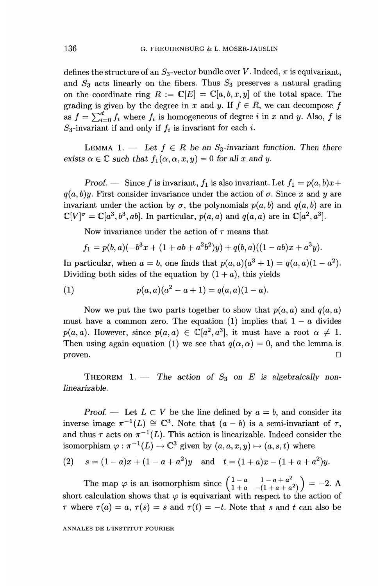defines the structure of an  $S_3$ -vector bundle over V. Indeed,  $\pi$  is equivariant, and  $S_3$  acts linearly on the fibers. Thus  $S_3$  preserves a natural grading on the coordinate ring  $R := \mathbb{C}[E] = \mathbb{C}[a, b, x, y]$  of the total space. The grading is given by the degree in x and y. If  $f \in R$ , we can decompose f as  $f = \sum_{i=0}^{d} f_i$  where  $f_i$  is homogeneous of degree i in x and y. Also, f is  $S_3$ -invariant if and only if  $f_i$  is invariant for each i.

LEMMA 1. - Let  $f \in R$  be an  $S_3$ -invariant function. Then there exists  $\alpha \in \mathbb{C}$  such that  $f_1(\alpha, \alpha, x, y) = 0$  for all x and y.

Proof. - Since f is invariant,  $f_1$  is also invariant. Let  $f_1 = p(a, b)x +$  $q(a, b)y$ . First consider invariance under the action of  $\sigma$ . Since x and y are invariant under the action by  $\sigma$ , the polynomials  $p(a, b)$  and  $q(a, b)$  are in  $\mathbb{C}[V]^{\sigma} = \mathbb{C}[a^3, b^3, ab]$ . In particular,  $p(a, a)$  and  $q(a, a)$  are in  $\mathbb{C}[a^2, a^3]$ .

Now invariance under the action of  $\tau$  means that

$$
f_1 = p(b, a)(-b^3x + (1 + ab + a^2b^2)y) + q(b, a)((1 - ab)x + a^3y).
$$

In particular, when  $a = b$ , one finds that  $p(a, a)(a<sup>3</sup> + 1) = q(a, a)(1 - a<sup>2</sup>).$ Dividing both sides of the equation by  $(1 + a)$ , this yields

(1) 
$$
p(a,a)(a^2-a+1)=q(a,a)(1-a).
$$

Now we put the two parts together to show that  $p(a, a)$  and  $q(a, a)$ must have a common zero. The equation (1) implies that  $1 - a$  divides  $p(a, a)$ . However, since  $p(a, a) \in \mathbb{C}[a^2, a^3]$ , it must have a root  $\alpha \neq 1$ . Then using again equation (1) we see that  $q(\alpha, \alpha) = 0$ , and the lemma is  $\Box$ 

THEOREM 1. - The action of  $S_3$  on E is algebraically nonlinearizable.

Proof. — Let  $L \subset V$  be the line defined by  $a = b$ , and consider its inverse image  $\pi^{-1}(L) \cong \mathbb{C}^3$ . Note that  $(a - b)$  is a semi-invariant of  $\tau$ , and thus  $\tau$  acts on  $\pi^{-1}(L)$ . This action is linearizable. Indeed consider the isomorphism  $\varphi : \pi^{-1}(L) \to \mathbb{C}^3$  given by  $(a, a, x, y) \mapsto (a, s, t)$  where

(2) 
$$
s = (1 - a)x + (1 - a + a^2)y
$$
 and  $t = (1 + a)x - (1 + a + a^2)y$ .

The map  $\varphi$  is an isomorphism since  $\begin{pmatrix} 1-a & 1-a+a^2 \ 1+a & -(1+a+a^2) \end{pmatrix} = -2$ . A short calculation shows that  $\varphi$  is equivariant with respect to the action of  $\tau$  where  $\tau(a) = a, \tau(s) = s$  and  $\tau(t) = -t$ . Note that s and t can also be

ANNALES DE L'INSTITUT FOURIER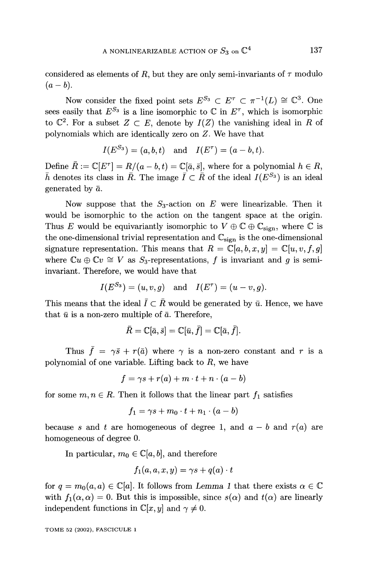considered as elements of R, but they are only semi-invariants of  $\tau$  modulo  $(a - b)$ .

Now consider the fixed point sets  $E^{S_3} \subset E^{\tau} \subset \pi^{-1}(L) \cong \mathbb{C}^3$ . One sees easily that  $E^{S_3}$  is a line isomorphic to  $\mathbb C$  in  $E^{\tau}$ , which is isomorphic to  $\mathbb{C}^2$ . For a subset  $Z \subset E$ , denote by  $I(Z)$  the vanishing ideal in R of polynomials which are identically zero on Z. We have that

$$
I(E^{S_3}) = (a, b, t)
$$
 and  $I(E^{\tau}) = (a - b, t)$ .

Define  $\overline{R} := \mathbb{C}[E^{\tau}] = R/(a - b, t) = \mathbb{C}[\overline{a}, \overline{s}]$ , where for a polynomial  $h \in R$ ,  $\bar{h}$  denotes its class in  $\bar{R}$ . The image  $\bar{I} \subset \bar{R}$  of the ideal  $I(E^{S_3})$  is an ideal generated by  $\bar{a}$ .

Now suppose that the  $S_3$ -action on E were linearizable. Then it would be isomorphic to the action on the tangent space at the origin. Thus E would be equivariantly isomorphic to  $V \oplus \mathbb{C} \oplus \mathbb{C}_{\text{sign}}$ , where  $\mathbb C$  is the one-dimensional trivial representation and  $\mathbb{C}_{sign}$  is the one-dimensional signature representation. This means that  $R = \mathbb{C}[a, b, x, y] = \mathbb{C}[u, v, f, g]$ where  $\mathbb{C}u \oplus \mathbb{C}v \cong V$  as  $S_3$ -representations, f is invariant and g is semiinvariant. Therefore, we would have that

$$
I(E^{S_3})=(u,v,g)\quad\text{and}\quad I(E^\tau)=(u-v,g).
$$

This means that the ideal  $\overline{I} \subset \overline{R}$  would be generated by  $\overline{u}$ . Hence, we have that  $\bar{u}$  is a non-zero multiple of  $\bar{a}$ . Therefore,

$$
\bar R=\mathbb{C}[\bar a, \bar s]=\mathbb{C}[\bar u, \bar f]=\mathbb{C}[\bar a, \bar f].
$$

Thus  $\bar{f} = \gamma \bar{s} + r(\bar{a})$  where  $\gamma$  is a non-zero constant and r is a polynomial of one variable. Lifting back to  $R$ , we have

$$
f = \gamma s + r(a) + m \cdot t + n \cdot (a - b)
$$

for some  $m, n \in R$ . Then it follows that the linear part  $f_1$  satisfies

$$
f_1 = \gamma s + m_0 \cdot t + n_1 \cdot (a - b)
$$

because s and t are homogeneous of degree 1, and  $a - b$  and  $r(a)$  are homogeneous of degree 0.

In particular,  $m_0 \in \mathbb{C}[a, b]$ , and therefore

$$
f_1(a,a,x,y)=\gamma s+q(a)\cdot t
$$

for  $q = m_0(a, a) \in \mathbb{C}[a]$ . It follows from Lemma 1 that there exists  $\alpha \in \mathbb{C}$ with  $f_1(\alpha, \alpha) = 0$ . But this is impossible, since  $s(\alpha)$  and  $t(\alpha)$  are linearly independent functions in  $\mathbb{C}[x, y]$  and  $\gamma \neq 0$ .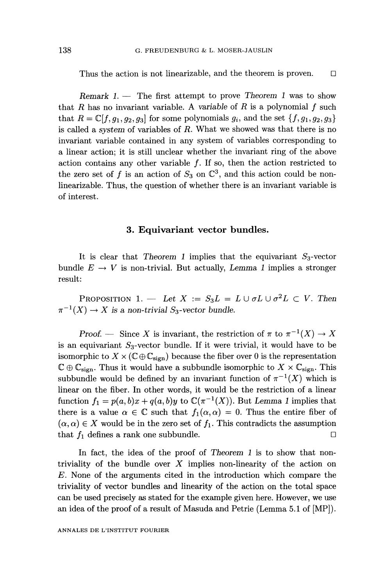Thus the action is not linearizable, and the theorem is proven.  $\square$ 

Remark  $1.$  - The first attempt to prove Theorem 1 was to show that R has no invariant variable. A variable of R is a polynomial  $f$  such that  $R = \mathbb{C}[f, g_1, g_2, g_3]$  for some polynomials  $g_i$ , and the set  $\{f, g_1, g_2, g_3\}$ is called a system of variables of  $R$ . What we showed was that there is no invariant variable contained in any system of variables corresponding to a linear action; it is still unclear whether the invariant ring of the above action contains any other variable  $f$ . If so, then the action restricted to the zero set of f is an action of  $S_3$  on  $\mathbb{C}^3$ , and this action could be nonlinearizable. Thus, the question of whether there is an invariant variable is of interest.

#### 3. Equivariant vector bundles.

It is clear that Theorem 1 implies that the equivariant  $S_3$ -vector bundle  $E \rightarrow V$  is non-trivial. But actually, Lemma 1 implies a stronger result:

PROPOSITION 1. - Let  $X := S_3L = L \cup \sigma L \cup \sigma^2 L \subset V$ . Then  $\pi^{-1}(X) \to X$  is a non-trivial S<sub>3</sub>-vector bundle.

Proof. - Since X is invariant, the restriction of  $\pi$  to  $\pi^{-1}(X) \to X$ is an equivariant  $S_3$ -vector bundle. If it were trivial, it would have to be isomorphic to  $X \times (\mathbb{C} \oplus \mathbb{C}_{\text{sign}})$  because the fiber over 0 is the representation  $\mathbb{C} \oplus \mathbb{C}_{sign}$ . Thus it would have a subbundle isomorphic to  $X \times \mathbb{C}_{sign}$ . This subbundle would be defined by an invariant function of  $\pi^{-1}(X)$  which is linear on the fiber. In other words, it would be the restriction of a linear function  $f_1 = p(a, b)x + q(a, b)y$  to  $\mathbb{C}(\pi^{-1}(X))$ . But Lemma 1 implies that there is a value  $\alpha \in \mathbb{C}$  such that  $f_1(\alpha, \alpha) = 0$ . Thus the entire fiber of  $(\alpha,\alpha) \in X$  would be in the zero set of  $f_1$ . This contradicts the assumption that  $f_1$  defines a rank one subbundle.

In fact, the idea of the proof of Theorem 1 is to show that nontriviality of the bundle over  $X$  implies non-linearity of the action on E. None of the arguments cited in the introduction which compare the triviality of vector bundles and linearity of the action on the total space can be used precisely as stated for the example given here. However, we use an idea of the proof of a result of Masuda and Petrie (Lemma 5.1 of [MP]).

ANNALES DE L'INSTITUT FOURIER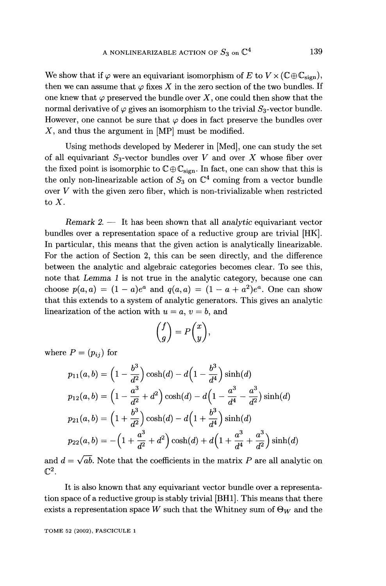We show that if  $\varphi$  were an equivariant isomorphism of E to  $V \times (\mathbb{C} \oplus \mathbb{C}_{\text{sign}})$ , then we can assume that  $\varphi$  fixes X in the zero section of the two bundles. If one knew that  $\varphi$  preserved the bundle over X, one could then show that the normal derivative of  $\varphi$  gives an isomorphism to the trivial  $S_3$ -vector bundle. However, one cannot be sure that  $\varphi$  does in fact preserve the bundles over X, and thus the argument in [MP] must be modified.

Using methods developed by Mederer in [Med], one can study the set of all equivariant  $S_3$ -vector bundles over V and over X whose fiber over the fixed point is isomorphic to  $\mathbb{C}\oplus\mathbb{C}_{\text{sign}}$ . In fact, one can show that this is the only non-linearizable action of  $S_3$  on  $\mathbb{C}^4$  coming from a vector bundle over  $V$  with the given zero fiber, which is non-trivializable when restricted to X.

Remark  $2 - I$  It has been shown that all analytic equivariant vector bundles over a representation space of a reductive group are trivial [HK]. In particular, this means that the given action is analytically linearizable. For the action of Section 2, this can be seen directly, and the difference between the analytic and algebraic categories becomes clear. To see this, note that Lemma 1 is not true in the analytic category, because one can choose  $p(a, a) = (1 - a)e^a$  and  $q(a, a) = (1 - a + a^2)e^a$ . One can show that this extends to a system of analytic generators. This gives an analytic linearization of the action with  $u = a, v = b$ , and

$$
\binom{f}{g} = P\binom{x}{y},
$$

where  $P=(p_{ij})$  for

$$
p_{11}(a,b) = \left(1 - \frac{b^3}{d^2}\right)\cosh(d) - d\left(1 - \frac{b^3}{d^4}\right)\sinh(d)
$$
  
\n
$$
p_{12}(a,b) = \left(1 - \frac{a^3}{d^2} + d^2\right)\cosh(d) - d\left(1 - \frac{a^3}{d^4} - \frac{a^3}{d^2}\right)\sinh(d)
$$
  
\n
$$
p_{21}(a,b) = \left(1 + \frac{b^3}{d^2}\right)\cosh(d) - d\left(1 + \frac{b^3}{d^4}\right)\sinh(d)
$$
  
\n
$$
p_{22}(a,b) = -\left(1 + \frac{a^3}{d^2} + d^2\right)\cosh(d) + d\left(1 + \frac{a^3}{d^4} + \frac{a^3}{d^2}\right)\sinh(d)
$$

and  $d = \sqrt{ab}$ . Note that the coefficients in the matrix P are all analytic on  $\mathbb{C}^2$ .

It is also known that any equivariant vector bundle over a representation space of a reductive group is stably trivial [BH1]. This means that there exists a representation space W such that the Whitney sum of  $\Theta_W$  and the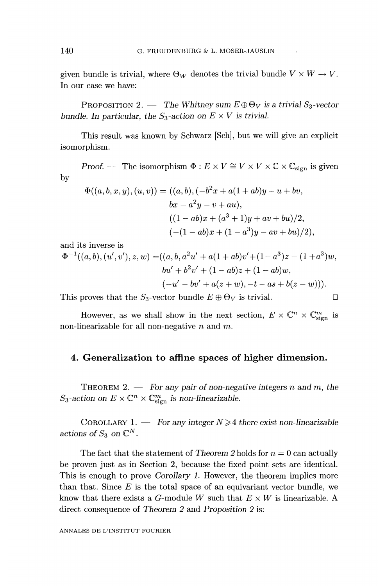given bundle is trivial, where  $\Theta_W$  denotes the trivial bundle  $V \times W \to V$ . In our case we have:

PROPOSITION 2. - The Whitney sum  $E \oplus \Theta_V$  is a trivial  $S_3$ -vector bundle. In particular, the  $S_3$ -action on  $E \times V$  is trivial.

This result was known by Schwarz [Sch], but we will give an explicit isomorphism.

Proof. — The isomorphism  $\Phi: E \times V \cong V \times V \times \mathbb{C} \times \mathbb{C}_{\text{sign}}$  is given by

$$
\Phi((a, b, x, y), (u, v)) = ((a, b), (-b2x + a(1 + ab)y - u + bv,bx - a2y - v + au),((1 - ab)x + (a3 + 1)y + av + bu)/2,(-(1 - ab)x + (1 - a3)y - av + bu)/2),
$$

and its inverse is

$$
\Phi^{-1}((a,b),(u',v'),z,w) = ((a,b,a^2u'+a(1+ab)v'+(1-a^3)z-(1+a^3)w,bu'+b^2v'+(1-ab)z+(1-ab)w,(-u'-bv'+a(z+w),-t-as+b(z-w))).
$$

This proves that the  $S_3$ -vector bundle  $E \oplus \Theta_V$  is trivial.

However, as we shall show in the next section,  $E \times \mathbb{C}^n \times \mathbb{C}^m_{\text{sign}}$  is non-linearizable for all non-negative  $n$  and  $m$ .

#### 4. Generalization to affine spaces of higher dimension.

THEOREM 2.  $-$  For any pair of non-negative integers n and m, the  $S_3$ -action on  $E \times \mathbb{C}^n \times \mathbb{C}_{\text{sign}}^m$  is non-linearizable.

COROLLARY 1. - For any integer  $N \geq 4$  there exist non-linearizable actions of  $S_3$  on  $\mathbb{C}^N$ .

The fact that the statement of Theorem 2 holds for  $n = 0$  can actually be proven just as in Section 2, because the fixed point sets are identical. This is enough to prove Corollary 1. However, the theorem implies more than that. Since  $E$  is the total space of an equivariant vector bundle, we know that there exists a G-module W such that  $E \times W$  is linearizable. A direct consequence of Theorem 2 and Proposition 2 is: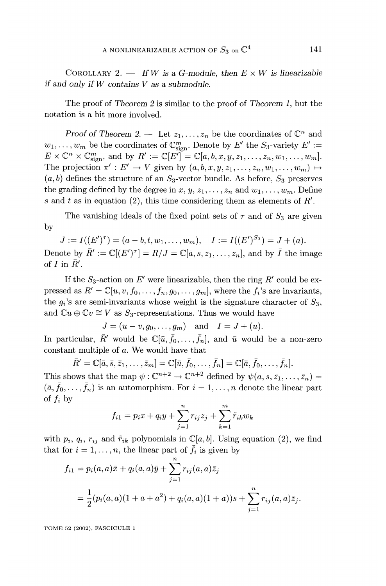COROLLARY 2.  $\equiv$  If W is a G-module, then  $E \times W$  is linearizable if and only if  $W$  contains  $V$  as a submodule.

The proof of Theorem 2 is similar to the proof of Theorem 1, but the notation is a bit more involved.

Proof of Theorem 2. - Let  $z_1, \ldots, z_n$  be the coordinates of  $\mathbb{C}^n$  and  $w_1, \ldots, w_m$  be the coordinates of  $\mathbb{C}_{\text{sign}}^m$ . Denote by E' the  $S_3$ -variety  $E' :=$  $E \times \mathbb{C}^n \times \mathbb{C}_{\text{sign}}^m$ , and by  $R' := \mathbb{C}[E'] = \mathbb{C}[a, b, x, y, z_1, \dots, z_n, w_1, \dots, w_m].$ The projection  $\pi': E' \to V$  given by  $(a, b, x, y, z_1, \ldots, z_n, w_1, \ldots, w_m) \mapsto$  $(a, b)$  defines the structure of an  $S_3$ -vector bundle. As before,  $S_3$  preserves the grading defined by the degree in  $x, y, z_1, \ldots, z_n$  and  $w_1, \ldots, w_m$ . Define s and t as in equation (2), this time considering them as elements of  $R'$ .

The vanishing ideals of the fixed point sets of  $\tau$  and of  $S_3$  are given by

 $J := I((E')^{\tau}) = (a - b, t, w_1, \dots, w_m), \quad I := I((E')^{S_3}) = J + (a).$ 

Denote by  $R' := \mathbb{C}[(E')^{\tau}] = R/J = \mathbb{C}[\bar{a}, \bar{s}, \bar{z}_1, \dots, \bar{z}_n]$ , and by I the image of  $I$  in  $R'$ .

If the  $S_3$ -action on E' were linearizable, then the ring R' could be expressed as  $R' = \mathbb{C}[u, v, f_0, \ldots, f_n, g_0, \ldots, g_m]$ , where the  $f_i$ 's are invariants, the  $g_i$ 's are semi-invariants whose weight is the signature character of  $S_3$ , and  $\mathbb{C}u \oplus \mathbb{C}v \cong V$  as  $S_3$ -representations. Thus we would have

$$
J = (u - v, g_0, \dots, g_m)
$$
 and  $I = J + (u)$ .

In particular,  $\bar{R}'$  would be  $\mathbb{C}[\bar{u}, \bar{f}_0, \ldots, \bar{f}_n]$ , and  $\bar{u}$  would be a non-zero constant multiple of  $\bar{a}$ . We would have that

$$
R' = \mathbb{C}[\bar{a}, \bar{s}, \bar{z}_1, \dots, \bar{z}_m] = \mathbb{C}[\bar{u}, f_0, \dots, f_n] = \mathbb{C}[\bar{a}, f_0, \dots, \bar{f}_n].
$$
  
This shows that the map  $\psi : \mathbb{C}^{n+2} \to \mathbb{C}^{n+2}$  defined by  $\psi(\bar{a}, \bar{s}, \bar{z}_1, \dots, \bar{z}_n) =$ 

 $(\bar{a}, \bar{f}_0, \ldots, \bar{f}_n)$  is an automorphism. For  $i = 1, \ldots, n$  denote the linear part of  $f_i$  by

$$
f_{i1} = p_i x + q_i y + \sum_{j=1}^{n} r_{ij} z_j + \sum_{k=1}^{m} \tilde{r}_{ik} w_k
$$

with  $p_i$ ,  $q_i$ ,  $r_{ij}$  and  $\tilde{r}_{ik}$  polynomials in  $\mathbb{C}[a, b]$ . Using equation (2), we find that for  $i = 1, \ldots, n$ , the linear part of  $\bar{f}_i$  is given by

$$
\bar{f}_{i1} = p_i(a, a)\bar{x} + q_i(a, a)\bar{y} + \sum_{j=1}^{n} r_{ij}(a, a)\bar{z}_j
$$
  
= 
$$
\frac{1}{2}(p_i(a, a)(1 + a + a^2) + q_i(a, a)(1 + a))\bar{s} + \sum_{j=1}^{n} r_{ij}(a, a)\bar{z}_j.
$$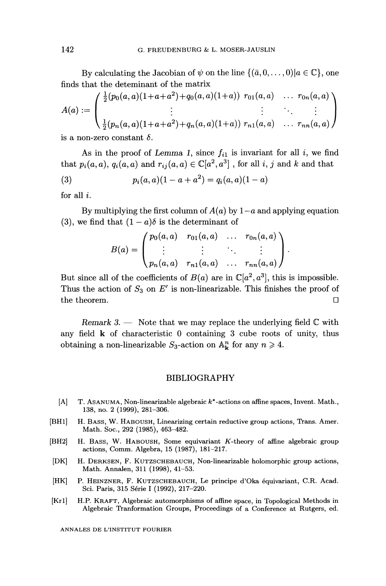By calculating the Jacobian of  $\psi$  on the line  $\{(\bar{a}, 0, \ldots, 0) | a \in \mathbb{C}\},$  one finds that the deteminant of the matrix

$$
A(a) := \begin{pmatrix} \frac{1}{2}(p_0(a,a)(1+a+a^2)+q_0(a,a)(1+a)) & r_{01}(a,a) & \dots & r_{0n}(a,a) \\ \vdots & \vdots & \ddots & \vdots \\ \frac{1}{2}(p_n(a,a)(1+a+a^2)+q_n(a,a)(1+a)) & r_{n1}(a,a) & \dots & r_{nn}(a,a) \end{pmatrix}
$$

is a non-zero constant  $\delta$ .

As in the proof of Lemma 1, since  $f_{i1}$  is invariant for all i, we find that  $p_i(a, a), q_i(a, a)$  and  $r_{ij}(a, a) \in \mathbb{C}[a^2, a^3]$ , for all i, j and k and that

(3) 
$$
p_i(a,a)(1-a+a^2) = q_i(a,a)(1-a)
$$

for all i.

By multiplying the first column of  $A(a)$  by  $1-a$  and applying equation (3), we find that  $(1 - a)\delta$  is the determinant of

$$
B(a) = \begin{pmatrix} p_0(a, a) & r_{01}(a, a) & \dots & r_{0n}(a, a) \\ \vdots & \vdots & \ddots & \vdots \\ p_n(a, a) & r_{n1}(a, a) & \dots & r_{nn}(a, a) \end{pmatrix}
$$

But since all of the coefficients of  $B(a)$  are in  $\mathbb{C}[a^2, a^3]$ , this is impossible. Thus the action of  $S_3$  on E' is non-linearizable. This finishes the proof of the theorem.  $\Box$ 

Remark 3.  $\rightarrow$  Note that we may replace the underlying field  $\mathbb C$  with any field k of characteristic 0 containing 3 cube roots of unity, thus obtaining a non-linearizable  $S_3$ -action on  $\mathbb{A}^n_k$  for any  $n \geq 4$ .

#### BIBLIOGRAPHY

- [A] T. ASANUMA, Non-linearizable algebraic k\*-actions on affine spaces, Invent. Math., 138, no. 2 (1999), 281-306.
- [BH1] H. BASS, W. HABOUSH, Linearizing certain reductive group actions, Trans. Amer. Math. Soc., 292 (1985), 463-482.
- [BH2] H. BASS, W. HABOUSH, Some equivariant K-theory of affine algebraic group actions, Comm. Algebra, 15 (1987), 181-217.
- [DK] H. DERKSEN, F. KUTZSCHEBAUCH, Non-linearizable holomorphic group actions, Math. Annalen, 311 (1998), 41-53.
- [HK] P. HEINZNER, F. KUTZSCHEBAUCH, Le principe d'Oka équivariant, C.R. Acad. Sci. Paris, 315 Série I (1992), 217-220.
- [Kr1] H.P. KRAFT, Algebraic automorphisms of affine space, in Topological Methods in Algebraic Tranformation Groups, Proceedings of a Conference at Rutgers, ed.